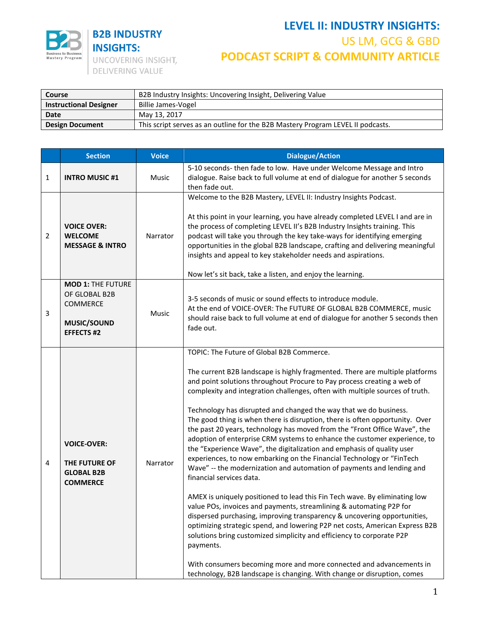

| Course                        | B2B Industry Insights: Uncovering Insight, Delivering Value                     |  |  |
|-------------------------------|---------------------------------------------------------------------------------|--|--|
| <b>Instructional Designer</b> | Billie James-Vogel                                                              |  |  |
| Date                          | May 13, 2017                                                                    |  |  |
| <b>Design Document</b>        | This script serves as an outline for the B2B Mastery Program LEVEL II podcasts. |  |  |

|                | <b>Section</b>                                                                           | <b>Voice</b> | <b>Dialogue/Action</b>                                                                                                                                                                                                                                                                                                                                                                                                                                                                                                                                                                                                                                                                                                                                                                                                                                                                                                                                                                                                                                                                                                                                                                                                                                                                                                                                                                                               |
|----------------|------------------------------------------------------------------------------------------|--------------|----------------------------------------------------------------------------------------------------------------------------------------------------------------------------------------------------------------------------------------------------------------------------------------------------------------------------------------------------------------------------------------------------------------------------------------------------------------------------------------------------------------------------------------------------------------------------------------------------------------------------------------------------------------------------------------------------------------------------------------------------------------------------------------------------------------------------------------------------------------------------------------------------------------------------------------------------------------------------------------------------------------------------------------------------------------------------------------------------------------------------------------------------------------------------------------------------------------------------------------------------------------------------------------------------------------------------------------------------------------------------------------------------------------------|
| 1              | <b>INTRO MUSIC #1</b>                                                                    | Music        | 5-10 seconds- then fade to low. Have under Welcome Message and Intro<br>dialogue. Raise back to full volume at end of dialogue for another 5 seconds<br>then fade out.                                                                                                                                                                                                                                                                                                                                                                                                                                                                                                                                                                                                                                                                                                                                                                                                                                                                                                                                                                                                                                                                                                                                                                                                                                               |
| $\overline{2}$ | <b>VOICE OVER:</b><br><b>WELCOME</b><br><b>MESSAGE &amp; INTRO</b>                       | Narrator     | Welcome to the B2B Mastery, LEVEL II: Industry Insights Podcast.<br>At this point in your learning, you have already completed LEVEL I and are in<br>the process of completing LEVEL II's B2B Industry Insights training. This<br>podcast will take you through the key take-ways for identifying emerging<br>opportunities in the global B2B landscape, crafting and delivering meaningful<br>insights and appeal to key stakeholder needs and aspirations.<br>Now let's sit back, take a listen, and enjoy the learning.                                                                                                                                                                                                                                                                                                                                                                                                                                                                                                                                                                                                                                                                                                                                                                                                                                                                                           |
| 3              | <b>MOD 1: THE FUTURE</b><br>OF GLOBAL B2B<br>COMMERCE<br>MUSIC/SOUND<br><b>EFFECTS#2</b> | <b>Music</b> | 3-5 seconds of music or sound effects to introduce module.<br>At the end of VOICE-OVER: The FUTURE OF GLOBAL B2B COMMERCE, music<br>should raise back to full volume at end of dialogue for another 5 seconds then<br>fade out.                                                                                                                                                                                                                                                                                                                                                                                                                                                                                                                                                                                                                                                                                                                                                                                                                                                                                                                                                                                                                                                                                                                                                                                      |
| 4              | <b>VOICE-OVER:</b><br>THE FUTURE OF<br><b>GLOBAL B2B</b><br><b>COMMERCE</b>              | Narrator     | TOPIC: The Future of Global B2B Commerce.<br>The current B2B landscape is highly fragmented. There are multiple platforms<br>and point solutions throughout Procure to Pay process creating a web of<br>complexity and integration challenges, often with multiple sources of truth.<br>Technology has disrupted and changed the way that we do business.<br>The good thing is when there is disruption, there is often opportunity. Over<br>the past 20 years, technology has moved from the "Front Office Wave", the<br>adoption of enterprise CRM systems to enhance the customer experience, to<br>the "Experience Wave", the digitalization and emphasis of quality user<br>experiences, to now embarking on the Financial Technology or "FinTech<br>Wave" -- the modernization and automation of payments and lending and<br>financial services data.<br>AMEX is uniquely positioned to lead this Fin Tech wave. By eliminating low<br>value POs, invoices and payments, streamlining & automating P2P for<br>dispersed purchasing, improving transparency & uncovering opportunities,<br>optimizing strategic spend, and lowering P2P net costs, American Express B2B<br>solutions bring customized simplicity and efficiency to corporate P2P<br>payments.<br>With consumers becoming more and more connected and advancements in<br>technology, B2B landscape is changing. With change or disruption, comes |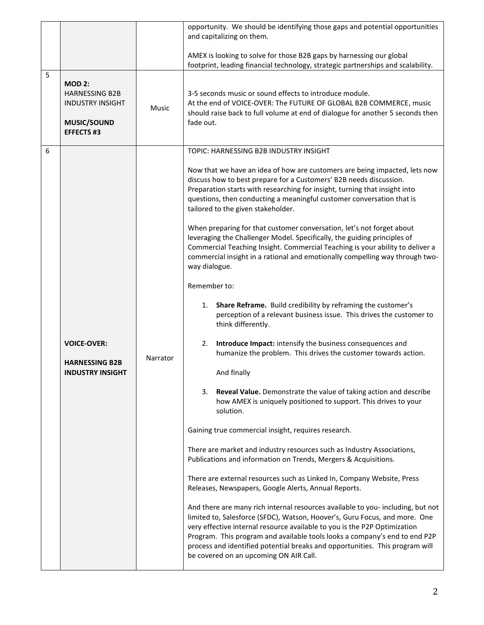|   |                                                                                                      |          | opportunity. We should be identifying those gaps and potential opportunities<br>and capitalizing on them.                                                                                                                                                                                                                                                                                                                                          |
|---|------------------------------------------------------------------------------------------------------|----------|----------------------------------------------------------------------------------------------------------------------------------------------------------------------------------------------------------------------------------------------------------------------------------------------------------------------------------------------------------------------------------------------------------------------------------------------------|
|   |                                                                                                      |          | AMEX is looking to solve for those B2B gaps by harnessing our global<br>footprint, leading financial technology, strategic partnerships and scalability.                                                                                                                                                                                                                                                                                           |
| 5 | <b>MOD 2:</b><br><b>HARNESSING B2B</b><br><b>INDUSTRY INSIGHT</b><br>MUSIC/SOUND<br><b>EFFECTS#3</b> | Music    | 3-5 seconds music or sound effects to introduce module.<br>At the end of VOICE-OVER: The FUTURE OF GLOBAL B2B COMMERCE, music<br>should raise back to full volume at end of dialogue for another 5 seconds then<br>fade out.                                                                                                                                                                                                                       |
| 6 |                                                                                                      |          | TOPIC: HARNESSING B2B INDUSTRY INSIGHT                                                                                                                                                                                                                                                                                                                                                                                                             |
|   |                                                                                                      |          | Now that we have an idea of how are customers are being impacted, lets now<br>discuss how to best prepare for a Customers' B2B needs discussion.<br>Preparation starts with researching for insight, turning that insight into<br>questions, then conducting a meaningful customer conversation that is<br>tailored to the given stakeholder.                                                                                                      |
|   |                                                                                                      |          | When preparing for that customer conversation, let's not forget about<br>leveraging the Challenger Model. Specifically, the guiding principles of<br>Commercial Teaching Insight. Commercial Teaching is your ability to deliver a<br>commercial insight in a rational and emotionally compelling way through two-<br>way dialogue.                                                                                                                |
|   |                                                                                                      |          | Remember to:                                                                                                                                                                                                                                                                                                                                                                                                                                       |
|   |                                                                                                      |          | Share Reframe. Build credibility by reframing the customer's<br>1.<br>perception of a relevant business issue. This drives the customer to<br>think differently.                                                                                                                                                                                                                                                                                   |
|   | <b>VOICE-OVER:</b>                                                                                   | Narrator | Introduce Impact: intensify the business consequences and<br>2.<br>humanize the problem. This drives the customer towards action.                                                                                                                                                                                                                                                                                                                  |
|   | <b>HARNESSING B2B</b><br><b>INDUSTRY INSIGHT</b>                                                     |          | And finally                                                                                                                                                                                                                                                                                                                                                                                                                                        |
|   |                                                                                                      |          | Reveal Value. Demonstrate the value of taking action and describe<br>3.<br>how AMEX is uniquely positioned to support. This drives to your<br>solution.                                                                                                                                                                                                                                                                                            |
|   |                                                                                                      |          | Gaining true commercial insight, requires research.                                                                                                                                                                                                                                                                                                                                                                                                |
|   |                                                                                                      |          | There are market and industry resources such as Industry Associations,<br>Publications and information on Trends, Mergers & Acquisitions.                                                                                                                                                                                                                                                                                                          |
|   |                                                                                                      |          | There are external resources such as Linked In, Company Website, Press<br>Releases, Newspapers, Google Alerts, Annual Reports.                                                                                                                                                                                                                                                                                                                     |
|   |                                                                                                      |          | And there are many rich internal resources available to you- including, but not<br>limited to, Salesforce (SFDC), Watson, Hoover's, Guru Focus, and more. One<br>very effective internal resource available to you is the P2P Optimization<br>Program. This program and available tools looks a company's end to end P2P<br>process and identified potential breaks and opportunities. This program will<br>be covered on an upcoming ON AIR Call. |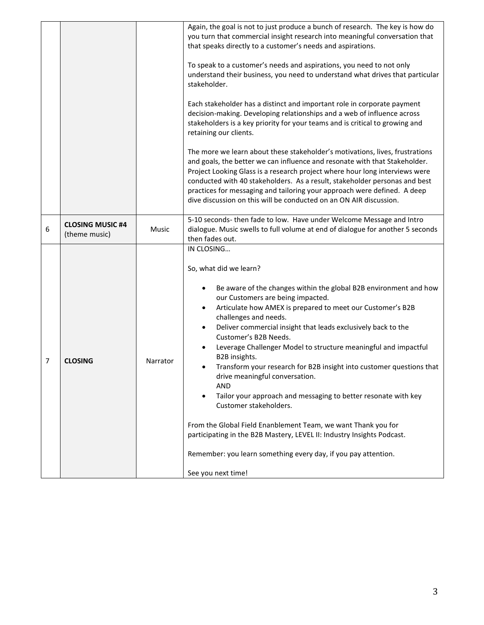|   |                                          |          | Again, the goal is not to just produce a bunch of research. The key is how do<br>you turn that commercial insight research into meaningful conversation that<br>that speaks directly to a customer's needs and aspirations.<br>To speak to a customer's needs and aspirations, you need to not only<br>understand their business, you need to understand what drives that particular<br>stakeholder.<br>Each stakeholder has a distinct and important role in corporate payment<br>decision-making. Developing relationships and a web of influence across<br>stakeholders is a key priority for your teams and is critical to growing and<br>retaining our clients.<br>The more we learn about these stakeholder's motivations, lives, frustrations<br>and goals, the better we can influence and resonate with that Stakeholder.<br>Project Looking Glass is a research project where hour long interviews were<br>conducted with 40 stakeholders. As a result, stakeholder personas and best<br>practices for messaging and tailoring your approach were defined. A deep<br>dive discussion on this will be conducted on an ON AIR discussion. |
|---|------------------------------------------|----------|---------------------------------------------------------------------------------------------------------------------------------------------------------------------------------------------------------------------------------------------------------------------------------------------------------------------------------------------------------------------------------------------------------------------------------------------------------------------------------------------------------------------------------------------------------------------------------------------------------------------------------------------------------------------------------------------------------------------------------------------------------------------------------------------------------------------------------------------------------------------------------------------------------------------------------------------------------------------------------------------------------------------------------------------------------------------------------------------------------------------------------------------------|
| 6 | <b>CLOSING MUSIC #4</b><br>(theme music) | Music    | 5-10 seconds- then fade to low. Have under Welcome Message and Intro<br>dialogue. Music swells to full volume at end of dialogue for another 5 seconds<br>then fades out.                                                                                                                                                                                                                                                                                                                                                                                                                                                                                                                                                                                                                                                                                                                                                                                                                                                                                                                                                                         |
| 7 | <b>CLOSING</b>                           | Narrator | IN CLOSING<br>So, what did we learn?<br>Be aware of the changes within the global B2B environment and how<br>$\bullet$<br>our Customers are being impacted.<br>Articulate how AMEX is prepared to meet our Customer's B2B<br>$\bullet$<br>challenges and needs.<br>Deliver commercial insight that leads exclusively back to the<br>$\bullet$<br>Customer's B2B Needs.<br>Leverage Challenger Model to structure meaningful and impactful<br>B2B insights.<br>Transform your research for B2B insight into customer questions that<br>drive meaningful conversation.<br><b>AND</b><br>Tailor your approach and messaging to better resonate with key<br>Customer stakeholders.<br>From the Global Field Enanblement Team, we want Thank you for<br>participating in the B2B Mastery, LEVEL II: Industry Insights Podcast.<br>Remember: you learn something every day, if you pay attention.<br>See you next time!                                                                                                                                                                                                                                 |